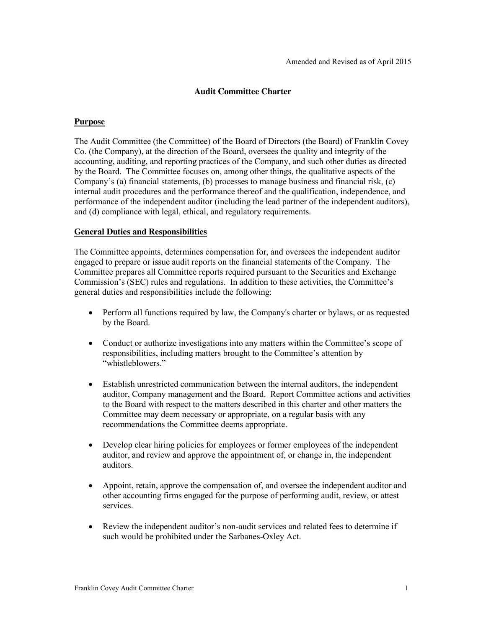## **Audit Committee Charter**

#### **Purpose**

The Audit Committee (the Committee) of the Board of Directors (the Board) of Franklin Covey Co. (the Company), at the direction of the Board, oversees the quality and integrity of the accounting, auditing, and reporting practices of the Company, and such other duties as directed by the Board. The Committee focuses on, among other things, the qualitative aspects of the Company's (a) financial statements, (b) processes to manage business and financial risk, (c) internal audit procedures and the performance thereof and the qualification, independence, and performance of the independent auditor (including the lead partner of the independent auditors), and (d) compliance with legal, ethical, and regulatory requirements.

#### **General Duties and Responsibilities**

The Committee appoints, determines compensation for, and oversees the independent auditor engaged to prepare or issue audit reports on the financial statements of the Company. The Committee prepares all Committee reports required pursuant to the Securities and Exchange Commission's (SEC) rules and regulations. In addition to these activities, the Committee's general duties and responsibilities include the following:

- Perform all functions required by law, the Company's charter or bylaws, or as requested by the Board.
- Conduct or authorize investigations into any matters within the Committee's scope of responsibilities, including matters brought to the Committee's attention by "whistleblowers."
- Establish unrestricted communication between the internal auditors, the independent auditor, Company management and the Board. Report Committee actions and activities to the Board with respect to the matters described in this charter and other matters the Committee may deem necessary or appropriate, on a regular basis with any recommendations the Committee deems appropriate.
- Develop clear hiring policies for employees or former employees of the independent auditor, and review and approve the appointment of, or change in, the independent auditors.
- Appoint, retain, approve the compensation of, and oversee the independent auditor and other accounting firms engaged for the purpose of performing audit, review, or attest services.
- Review the independent auditor's non-audit services and related fees to determine if such would be prohibited under the Sarbanes-Oxley Act.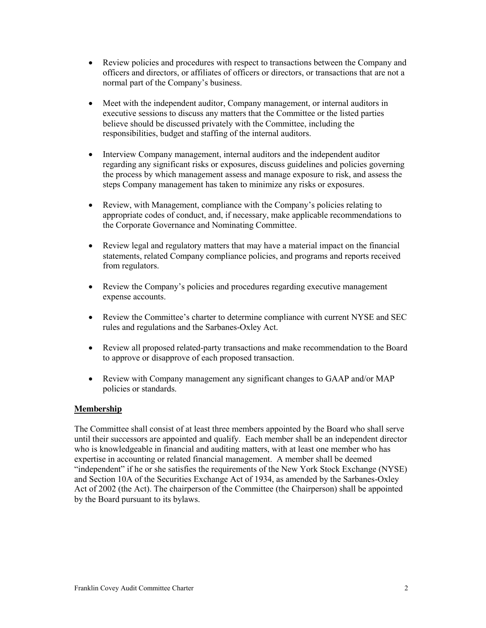- Review policies and procedures with respect to transactions between the Company and officers and directors, or affiliates of officers or directors, or transactions that are not a normal part of the Company's business.
- Meet with the independent auditor, Company management, or internal auditors in executive sessions to discuss any matters that the Committee or the listed parties believe should be discussed privately with the Committee, including the responsibilities, budget and staffing of the internal auditors.
- Interview Company management, internal auditors and the independent auditor regarding any significant risks or exposures, discuss guidelines and policies governing the process by which management assess and manage exposure to risk, and assess the steps Company management has taken to minimize any risks or exposures.
- Review, with Management, compliance with the Company's policies relating to appropriate codes of conduct, and, if necessary, make applicable recommendations to the Corporate Governance and Nominating Committee.
- Review legal and regulatory matters that may have a material impact on the financial statements, related Company compliance policies, and programs and reports received from regulators.
- x Review the Company's policies and procedures regarding executive management expense accounts.
- Review the Committee's charter to determine compliance with current NYSE and SEC rules and regulations and the Sarbanes-Oxley Act.
- Review all proposed related-party transactions and make recommendation to the Board to approve or disapprove of each proposed transaction.
- Review with Company management any significant changes to GAAP and/or MAP policies or standards.

# **Membership**

The Committee shall consist of at least three members appointed by the Board who shall serve until their successors are appointed and qualify. Each member shall be an independent director who is knowledgeable in financial and auditing matters, with at least one member who has expertise in accounting or related financial management. A member shall be deemed "independent" if he or she satisfies the requirements of the New York Stock Exchange (NYSE) and Section 10A of the Securities Exchange Act of 1934, as amended by the Sarbanes-Oxley Act of 2002 (the Act). The chairperson of the Committee (the Chairperson) shall be appointed by the Board pursuant to its bylaws.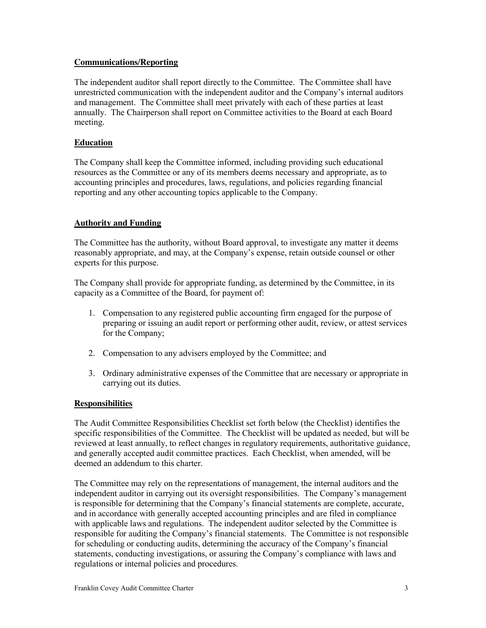## **Communications/Reporting**

The independent auditor shall report directly to the Committee. The Committee shall have unrestricted communication with the independent auditor and the Company's internal auditors and management. The Committee shall meet privately with each of these parties at least annually. The Chairperson shall report on Committee activities to the Board at each Board meeting.

# **Education**

The Company shall keep the Committee informed, including providing such educational resources as the Committee or any of its members deems necessary and appropriate, as to accounting principles and procedures, laws, regulations, and policies regarding financial reporting and any other accounting topics applicable to the Company.

# **Authority and Funding**

The Committee has the authority, without Board approval, to investigate any matter it deems reasonably appropriate, and may, at the Company's expense, retain outside counsel or other experts for this purpose.

The Company shall provide for appropriate funding, as determined by the Committee, in its capacity as a Committee of the Board, for payment of:

- 1. Compensation to any registered public accounting firm engaged for the purpose of preparing or issuing an audit report or performing other audit, review, or attest services for the Company;
- 2. Compensation to any advisers employed by the Committee; and
- 3. Ordinary administrative expenses of the Committee that are necessary or appropriate in carrying out its duties.

# **Responsibilities**

The Audit Committee Responsibilities Checklist set forth below (the Checklist) identifies the specific responsibilities of the Committee. The Checklist will be updated as needed, but will be reviewed at least annually, to reflect changes in regulatory requirements, authoritative guidance, and generally accepted audit committee practices. Each Checklist, when amended, will be deemed an addendum to this charter.

The Committee may rely on the representations of management, the internal auditors and the independent auditor in carrying out its oversight responsibilities. The Company's management is responsible for determining that the Company's financial statements are complete, accurate, and in accordance with generally accepted accounting principles and are filed in compliance with applicable laws and regulations. The independent auditor selected by the Committee is responsible for auditing the Company's financial statements. The Committee is not responsible for scheduling or conducting audits, determining the accuracy of the Company's financial statements, conducting investigations, or assuring the Company's compliance with laws and regulations or internal policies and procedures.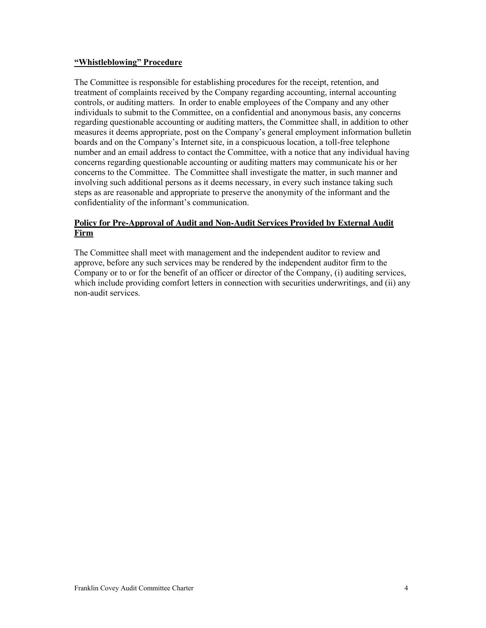### **"Whistleblowing" Procedure**

The Committee is responsible for establishing procedures for the receipt, retention, and treatment of complaints received by the Company regarding accounting, internal accounting controls, or auditing matters. In order to enable employees of the Company and any other individuals to submit to the Committee, on a confidential and anonymous basis, any concerns regarding questionable accounting or auditing matters, the Committee shall, in addition to other measures it deems appropriate, post on the Company's general employment information bulletin boards and on the Company's Internet site, in a conspicuous location, a toll-free telephone number and an email address to contact the Committee, with a notice that any individual having concerns regarding questionable accounting or auditing matters may communicate his or her concerns to the Committee. The Committee shall investigate the matter, in such manner and involving such additional persons as it deems necessary, in every such instance taking such steps as are reasonable and appropriate to preserve the anonymity of the informant and the confidentiality of the informant's communication.

## **Policy for Pre-Approval of Audit and Non-Audit Services Provided by External Audit Firm**

The Committee shall meet with management and the independent auditor to review and approve, before any such services may be rendered by the independent auditor firm to the Company or to or for the benefit of an officer or director of the Company, (i) auditing services, which include providing comfort letters in connection with securities underwritings, and (ii) any non-audit services.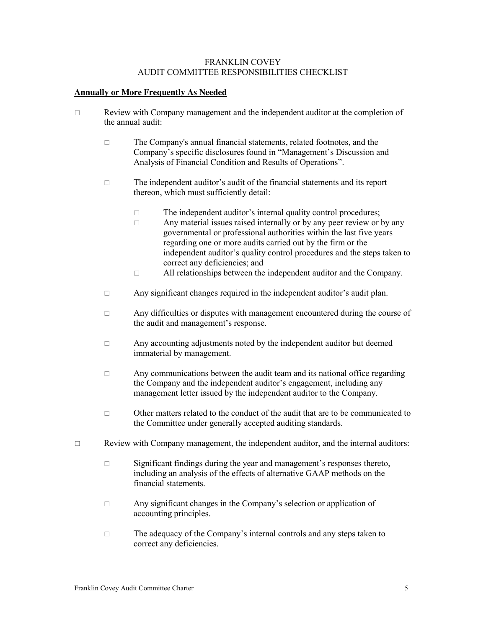### FRANKLIN COVEY AUDIT COMMITTEE RESPONSIBILITIES CHECKLIST

### **Annually or More Frequently As Needed**

- $\Box$  Review with Company management and the independent auditor at the completion of the annual audit:
	- $\Box$  The Company's annual financial statements, related footnotes, and the Company's specific disclosures found in "Management's Discussion and Analysis of Financial Condition and Results of Operations".
	- $\Box$  The independent auditor's audit of the financial statements and its report thereon, which must sufficiently detail:
		- $\Box$  The independent auditor's internal quality control procedures;
		- $\Box$  Any material issues raised internally or by any peer review or by any governmental or professional authorities within the last five years regarding one or more audits carried out by the firm or the independent auditor's quality control procedures and the steps taken to correct any deficiencies; and
		- $\Box$  All relationships between the independent auditor and the Company.
	- $\Box$  Any significant changes required in the independent auditor's audit plan.
	- $\Box$  Any difficulties or disputes with management encountered during the course of the audit and management's response.
	- $\Box$  Any accounting adjustments noted by the independent auditor but deemed immaterial by management.
	- $\Box$  Any communications between the audit team and its national office regarding the Company and the independent auditor's engagement, including any management letter issued by the independent auditor to the Company.
	- $\Box$  Other matters related to the conduct of the audit that are to be communicated to the Committee under generally accepted auditing standards.
- $\Box$  Review with Company management, the independent auditor, and the internal auditors:
	- $\square$  Significant findings during the year and management's responses thereto, including an analysis of the effects of alternative GAAP methods on the financial statements.
	- $\Box$  Any significant changes in the Company's selection or application of accounting principles.
	- $\Box$  The adequacy of the Company's internal controls and any steps taken to correct any deficiencies.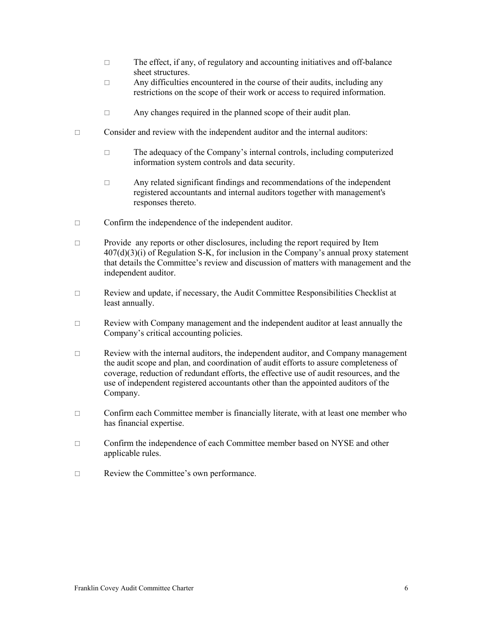- $\Box$  The effect, if any, of regulatory and accounting initiatives and off-balance sheet structures.
- $\Box$  Any difficulties encountered in the course of their audits, including any restrictions on the scope of their work or access to required information.
- $\Box$  Any changes required in the planned scope of their audit plan.
- $\Box$  Consider and review with the independent auditor and the internal auditors:
	- $\Box$  The adequacy of the Company's internal controls, including computerized information system controls and data security.
	- $\Box$  Any related significant findings and recommendations of the independent registered accountants and internal auditors together with management's responses thereto.
- $\Box$  Confirm the independence of the independent auditor.
- $\Box$  Provide any reports or other disclosures, including the report required by Item  $407(d)(3)(i)$  of Regulation S-K, for inclusion in the Company's annual proxy statement that details the Committee's review and discussion of matters with management and the independent auditor.
- $\Box$  Review and update, if necessary, the Audit Committee Responsibilities Checklist at least annually.
- $\Box$  Review with Company management and the independent auditor at least annually the Company's critical accounting policies.
- $\Box$  Review with the internal auditors, the independent auditor, and Company management the audit scope and plan, and coordination of audit efforts to assure completeness of coverage, reduction of redundant efforts, the effective use of audit resources, and the use of independent registered accountants other than the appointed auditors of the Company.
- $\Box$  Confirm each Committee member is financially literate, with at least one member who has financial expertise.
- $\Box$  Confirm the independence of each Committee member based on NYSE and other applicable rules.
- □ Review the Committee's own performance.